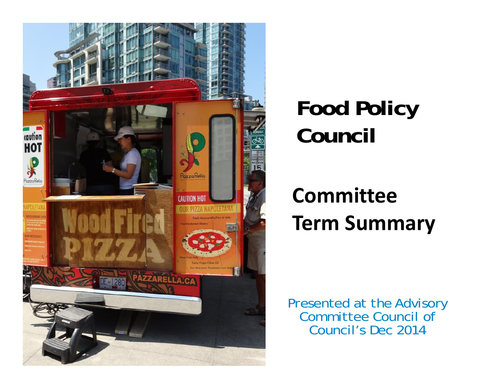

## **Food Policy Council**

#### **CommitteeTerm Summary**

Presented at the Advisory Committee Council of Council's Dec 2014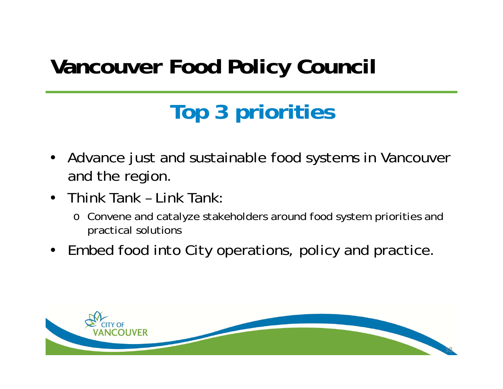## **Vancouver Food Policy Council**

# **Top 3 priorities**

- Advance just and sustainable food systems in Vancouver and the region.
- Think Tank Link Tank:
	- o Convene and catalyze stakeholders around food system priorities and practical solutions
- Embed food into City operations, policy and practice.

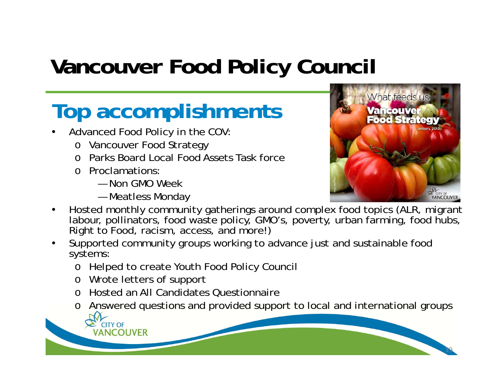## **Vancouver Food Policy Council**

#### **Top accomplishments**

- • Advanced Food Policy in the COV:
	- o Vancouver Food Strategy
	- o Parks Board Local Food Assets Task force
	- o Proclamations:
		- Non GMO Week
		- Meatless Monday



- • Hosted monthly community gatherings around complex food topics (ALR, migrant labour, pollinators, food waste policy, GMO's, poverty, urban farming, food hubs, Right to Food, racism, access, and more!)
- • Supported community groups working to advance just and sustainable food systems:
	- o Helped to create Youth Food Policy Council
	- o Wrote letters of support
	- o Hosted an All Candidates Questionnaire
	- o Answered questions and provided support to local and international groups